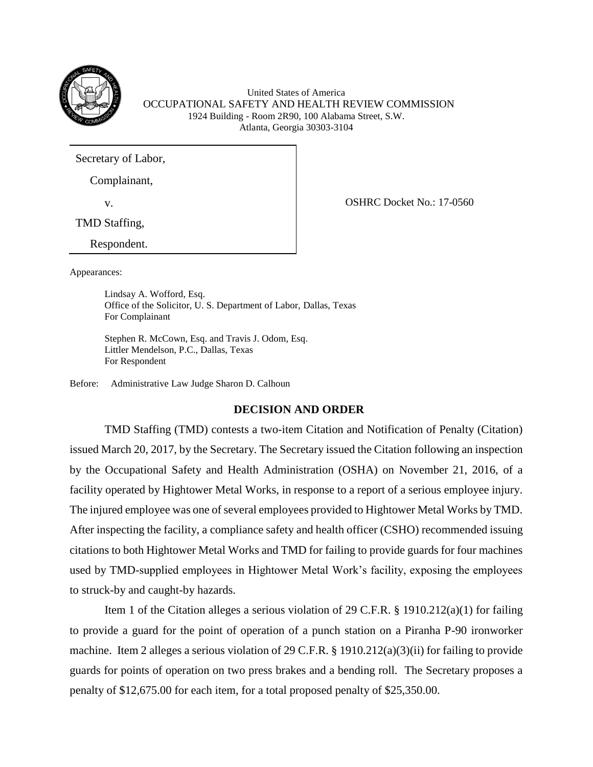

United States of America OCCUPATIONAL SAFETY AND HEALTH REVIEW COMMISSION 1924 Building - Room 2R90, 100 Alabama Street, S.W. Atlanta, Georgia 30303-3104

Secretary of Labor,

Complainant,

v. CONFINENTIAL CONTROL OF CONTROL OF CONTROL OF CONTROL OF CONTROL OF CONTROL OF CONTROL OF CONTROL OF CONTROL OF CONTROL OF CONTROL OF CONTROL OF CONTROL OF CONTROL OF CONTROL OF CONTROL OF CONTROL OF CONTROL OF CONTROL

TMD Staffing,

Respondent.

Appearances:

Lindsay A. Wofford, Esq. Office of the Solicitor, U. S. Department of Labor, Dallas, Texas For Complainant

Stephen R. McCown, Esq. and Travis J. Odom, Esq. Littler Mendelson, P.C., Dallas, Texas For Respondent

Before: Administrative Law Judge Sharon D. Calhoun

## **DECISION AND ORDER**

TMD Staffing (TMD) contests a two-item Citation and Notification of Penalty (Citation) issued March 20, 2017, by the Secretary. The Secretary issued the Citation following an inspection by the Occupational Safety and Health Administration (OSHA) on November 21, 2016, of a facility operated by Hightower Metal Works, in response to a report of a serious employee injury. The injured employee was one of several employees provided to Hightower Metal Works by TMD. After inspecting the facility, a compliance safety and health officer (CSHO) recommended issuing citations to both Hightower Metal Works and TMD for failing to provide guards for four machines used by TMD-supplied employees in Hightower Metal Work's facility, exposing the employees to struck-by and caught-by hazards.

Item 1 of the Citation alleges a serious violation of 29 C.F.R. § 1910.212(a)(1) for failing to provide a guard for the point of operation of a punch station on a Piranha P-90 ironworker machine. Item 2 alleges a serious violation of 29 C.F.R. § 1910.212(a)(3)(ii) for failing to provide guards for points of operation on two press brakes and a bending roll. The Secretary proposes a penalty of \$12,675.00 for each item, for a total proposed penalty of \$25,350.00.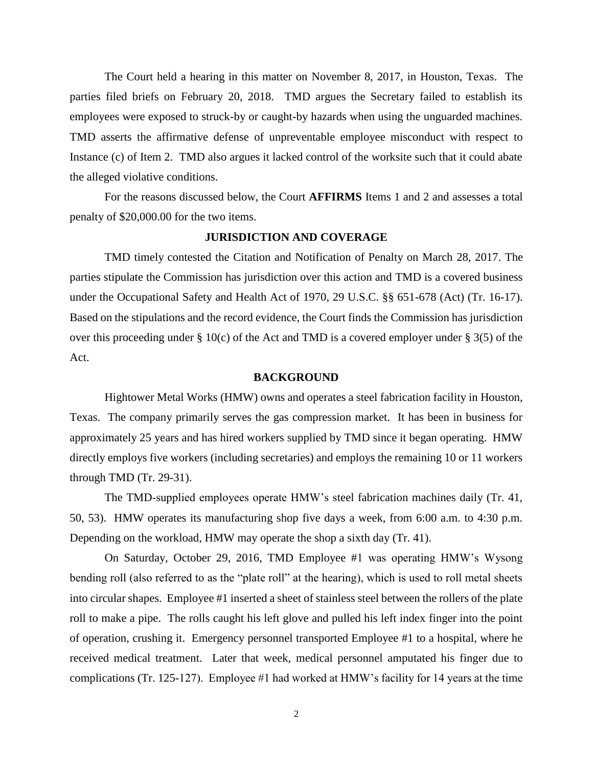The Court held a hearing in this matter on November 8, 2017, in Houston, Texas. The parties filed briefs on February 20, 2018. TMD argues the Secretary failed to establish its employees were exposed to struck-by or caught-by hazards when using the unguarded machines. TMD asserts the affirmative defense of unpreventable employee misconduct with respect to Instance (c) of Item 2. TMD also argues it lacked control of the worksite such that it could abate the alleged violative conditions.

For the reasons discussed below, the Court **AFFIRMS** Items 1 and 2 and assesses a total penalty of \$20,000.00 for the two items.

# **JURISDICTION AND COVERAGE**

TMD timely contested the Citation and Notification of Penalty on March 28, 2017. The parties stipulate the Commission has jurisdiction over this action and TMD is a covered business under the Occupational Safety and Health Act of 1970, 29 U.S.C. §§ 651-678 (Act) (Tr. 16-17). Based on the stipulations and the record evidence, the Court finds the Commission has jurisdiction over this proceeding under § 10(c) of the Act and TMD is a covered employer under § 3(5) of the Act.

#### **BACKGROUND**

Hightower Metal Works (HMW) owns and operates a steel fabrication facility in Houston, Texas. The company primarily serves the gas compression market. It has been in business for approximately 25 years and has hired workers supplied by TMD since it began operating. HMW directly employs five workers (including secretaries) and employs the remaining 10 or 11 workers through TMD (Tr. 29-31).

The TMD-supplied employees operate HMW's steel fabrication machines daily (Tr. 41, 50, 53). HMW operates its manufacturing shop five days a week, from 6:00 a.m. to 4:30 p.m. Depending on the workload, HMW may operate the shop a sixth day (Tr. 41).

On Saturday, October 29, 2016, TMD Employee #1 was operating HMW's Wysong bending roll (also referred to as the "plate roll" at the hearing), which is used to roll metal sheets into circular shapes. Employee #1 inserted a sheet of stainless steel between the rollers of the plate roll to make a pipe. The rolls caught his left glove and pulled his left index finger into the point of operation, crushing it. Emergency personnel transported Employee #1 to a hospital, where he received medical treatment. Later that week, medical personnel amputated his finger due to complications (Tr. 125-127). Employee #1 had worked at HMW's facility for 14 years at the time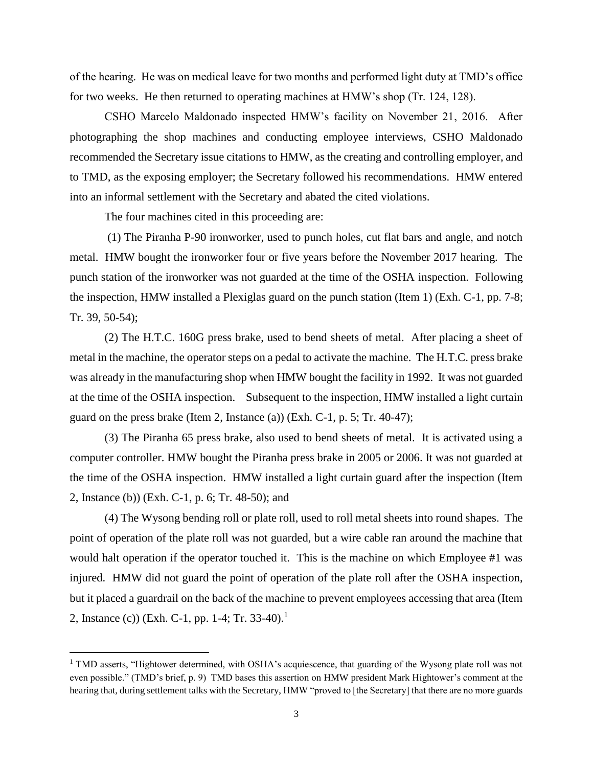of the hearing. He was on medical leave for two months and performed light duty at TMD's office for two weeks. He then returned to operating machines at HMW's shop (Tr. 124, 128).

CSHO Marcelo Maldonado inspected HMW's facility on November 21, 2016. After photographing the shop machines and conducting employee interviews, CSHO Maldonado recommended the Secretary issue citations to HMW, as the creating and controlling employer, and to TMD, as the exposing employer; the Secretary followed his recommendations. HMW entered into an informal settlement with the Secretary and abated the cited violations.

The four machines cited in this proceeding are:

 $\overline{a}$ 

(1) The Piranha P-90 ironworker, used to punch holes, cut flat bars and angle, and notch metal. HMW bought the ironworker four or five years before the November 2017 hearing. The punch station of the ironworker was not guarded at the time of the OSHA inspection. Following the inspection, HMW installed a Plexiglas guard on the punch station (Item 1) (Exh. C-1, pp. 7-8; Tr. 39, 50-54);

(2) The H.T.C. 160G press brake, used to bend sheets of metal. After placing a sheet of metal in the machine, the operator steps on a pedal to activate the machine. The H.T.C. press brake was already in the manufacturing shop when HMW bought the facility in 1992. It was not guarded at the time of the OSHA inspection. Subsequent to the inspection, HMW installed a light curtain guard on the press brake (Item 2, Instance (a)) (Exh. C-1, p. 5; Tr. 40-47);

(3) The Piranha 65 press brake, also used to bend sheets of metal. It is activated using a computer controller. HMW bought the Piranha press brake in 2005 or 2006. It was not guarded at the time of the OSHA inspection. HMW installed a light curtain guard after the inspection (Item 2, Instance (b)) (Exh. C-1, p. 6; Tr. 48-50); and

(4) The Wysong bending roll or plate roll, used to roll metal sheets into round shapes. The point of operation of the plate roll was not guarded, but a wire cable ran around the machine that would halt operation if the operator touched it. This is the machine on which Employee #1 was injured. HMW did not guard the point of operation of the plate roll after the OSHA inspection, but it placed a guardrail on the back of the machine to prevent employees accessing that area (Item 2, Instance (c)) (Exh. C-1, pp. 1-4; Tr. 33-40).<sup>1</sup>

<sup>&</sup>lt;sup>1</sup> TMD asserts, "Hightower determined, with OSHA's acquiescence, that guarding of the Wysong plate roll was not even possible." (TMD's brief, p. 9) TMD bases this assertion on HMW president Mark Hightower's comment at the hearing that, during settlement talks with the Secretary, HMW "proved to [the Secretary] that there are no more guards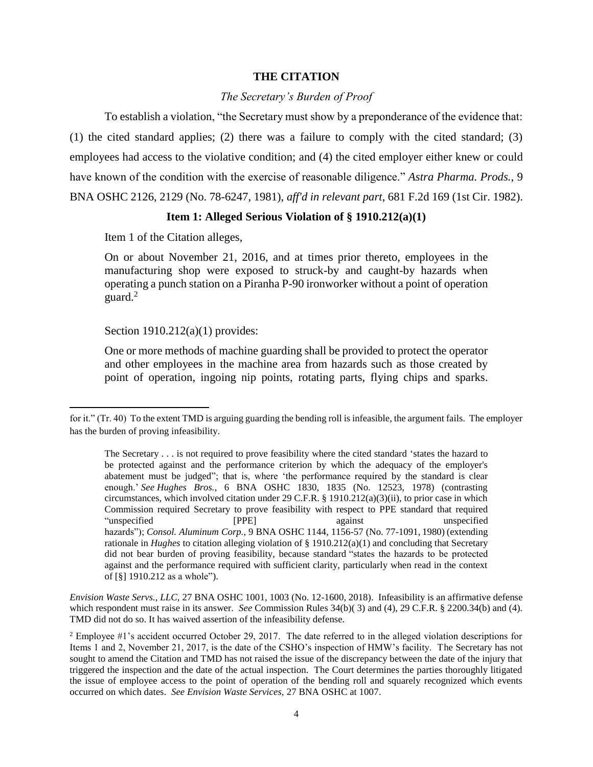### **THE CITATION**

### *The Secretary's Burden of Proof*

To establish a violation, "the Secretary must show by a preponderance of the evidence that: (1) the cited standard applies; (2) there was a failure to comply with the cited standard; (3) employees had access to the violative condition; and (4) the cited employer either knew or could have known of the condition with the exercise of reasonable diligence." *Astra Pharma. Prods.*, 9 BNA OSHC 2126, 2129 (No. 78-6247, 1981), *aff'd in relevant part*, 681 F.2d 169 (1st Cir. 1982).

#### **Item 1: Alleged Serious Violation of § 1910.212(a)(1)**

Item 1 of the Citation alleges,

On or about November 21, 2016, and at times prior thereto, employees in the manufacturing shop were exposed to struck-by and caught-by hazards when operating a punch station on a Piranha P-90 ironworker without a point of operation guard.<sup>2</sup>

Section 1910.212(a)(1) provides:

 $\overline{\phantom{a}}$ 

One or more methods of machine guarding shall be provided to protect the operator and other employees in the machine area from hazards such as those created by point of operation, ingoing nip points, rotating parts, flying chips and sparks.

*Envision Waste Servs., LLC,* 27 BNA OSHC 1001, 1003 (No. 12-1600, 2018). Infeasibility is an affirmative defense which respondent must raise in its answer. *See* Commission Rules 34(b)(3) and (4), 29 C.F.R. § 2200.34(b) and (4). TMD did not do so. It has waived assertion of the infeasibility defense.

for it." (Tr. 40) To the extent TMD is arguing guarding the bending roll is infeasible, the argument fails. The employer has the burden of proving infeasibility.

The Secretary . . . is not required to prove feasibility where the cited standard 'states the hazard to be protected against and the performance criterion by which the adequacy of the employer's abatement must be judged"; that is, where 'the performance required by the standard is clear enough.' *See Hughes Bros.*, 6 BNA OSHC 1830, 1835 (No. 12523, 1978) (contrasting circumstances, which involved citation under 29 C.F.R. § 1910.212(a)(3)(ii), to prior case in which Commission required Secretary to prove feasibility with respect to PPE standard that required "unspecified [PPE] against unspecified **[PPE]** hazards"); *Consol. Aluminum Corp.*, 9 BNA OSHC 1144, 1156-57 (No. 77-1091, 1980) (extending rationale in *Hughes* to citation alleging violation of § 1910.212(a)(1) and concluding that Secretary did not bear burden of proving feasibility, because standard "states the hazards to be protected against and the performance required with sufficient clarity, particularly when read in the context of [§] 1910.212 as a whole").

<sup>&</sup>lt;sup>2</sup> Employee #1's accident occurred October 29, 2017. The date referred to in the alleged violation descriptions for Items 1 and 2, November 21, 2017, is the date of the CSHO's inspection of HMW's facility. The Secretary has not sought to amend the Citation and TMD has not raised the issue of the discrepancy between the date of the injury that triggered the inspection and the date of the actual inspection. The Court determines the parties thoroughly litigated the issue of employee access to the point of operation of the bending roll and squarely recognized which events occurred on which dates. *See Envision Waste Services,* 27 BNA OSHC at 1007.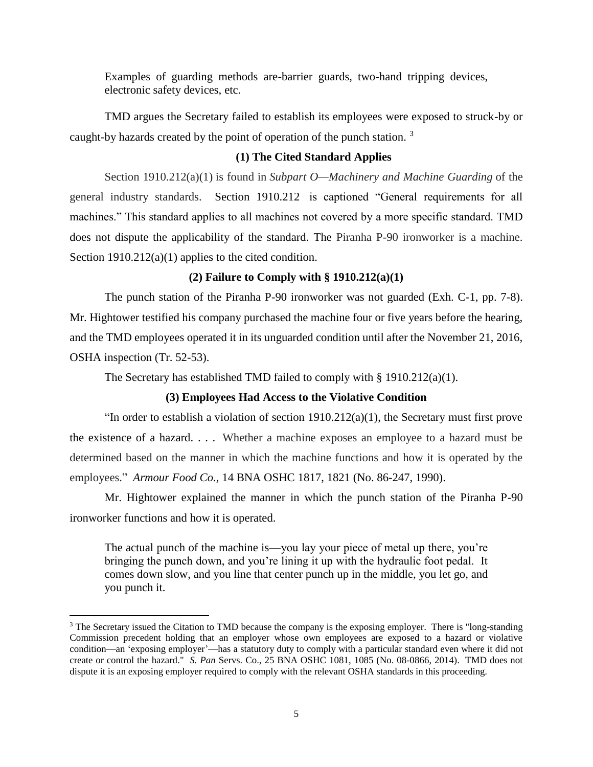Examples of guarding methods are-barrier guards, two-hand tripping devices, electronic safety devices, etc.

TMD argues the Secretary failed to establish its employees were exposed to struck-by or caught-by hazards created by the point of operation of the punch station.<sup>3</sup>

## **(1) The Cited Standard Applies**

Section 1910.212(a)(1) is found in *Subpart O—Machinery and Machine Guarding* of the general industry standards. [Section 1910.212](https://1.next.westlaw.com/Link/Document/FullText?findType=L&pubNum=1000547&cite=29CFRS1910.212&originatingDoc=Ie6da751f4dac11e8a2e69b122173a65f&refType=LQ&originationContext=document&transitionType=DocumentItem&contextData=(sc.Search)) is captioned "General requirements for all machines." This standard applies to all machines not covered by a more specific standard. TMD does not dispute the applicability of the standard. The Piranha P-90 ironworker is a machine. Section 1910.212(a)(1) applies to the cited condition.

## **(2) Failure to Comply with § 1910.212(a)(1)**

The punch station of the Piranha P-90 ironworker was not guarded (Exh. C-1, pp. 7-8). Mr. Hightower testified his company purchased the machine four or five years before the hearing, and the TMD employees operated it in its unguarded condition until after the November 21, 2016, OSHA inspection (Tr. 52-53).

The Secretary has established TMD failed to comply with  $\S 1910.212(a)(1)$ .

#### **(3) Employees Had Access to the Violative Condition**

"In order to establish a violation of section  $1910.212(a)(1)$ , the Secretary must first prove the existence of a hazard. . . . Whether a machine exposes an employee to a hazard must be determined based on the manner in which the machine functions and how it is operated by the employees." *Armour Food Co.,* 14 BNA OSHC 1817, 1821 (No. 86-247, 1990).

Mr. Hightower explained the manner in which the punch station of the Piranha P-90 ironworker functions and how it is operated.

The actual punch of the machine is—you lay your piece of metal up there, you're bringing the punch down, and you're lining it up with the hydraulic foot pedal. It comes down slow, and you line that center punch up in the middle, you let go, and you punch it.

 $\overline{a}$ 

<sup>&</sup>lt;sup>3</sup> The Secretary issued the Citation to TMD because the company is the exposing employer. There is "long-standing" Commission precedent holding that an employer whose own employees are exposed to a hazard or violative condition—an 'exposing employer'—has a statutory duty to comply with a particular standard even where it did not create or control the hazard." *S. Pan* Servs. Co., 25 BNA OSHC 1081, 1085 (No. 08-0866, 2014). TMD does not dispute it is an exposing employer required to comply with the relevant OSHA standards in this proceeding.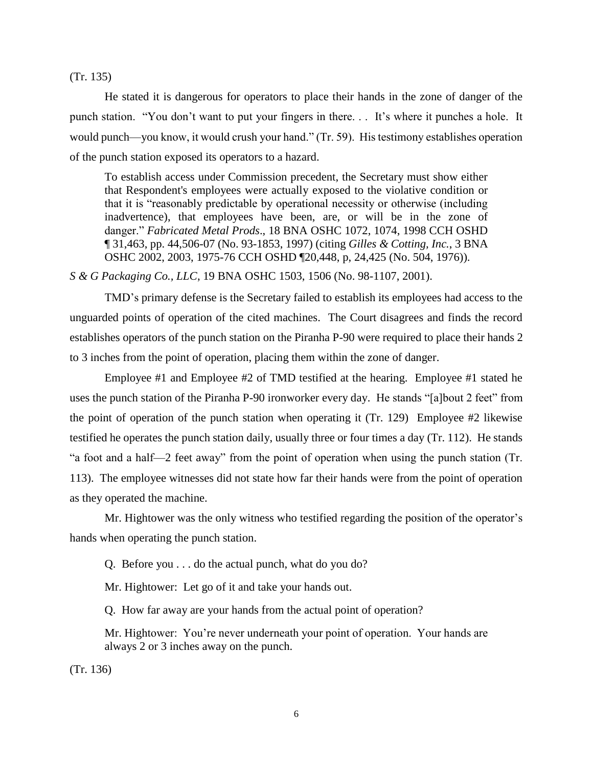(Tr. 135)

He stated it is dangerous for operators to place their hands in the zone of danger of the punch station. "You don't want to put your fingers in there. . . It's where it punches a hole. It would punch—you know, it would crush your hand." (Tr. 59). His testimony establishes operation of the punch station exposed its operators to a hazard.

To establish access under Commission precedent, the Secretary must show either that Respondent's employees were actually exposed to the violative condition or that it is "reasonably predictable by operational necessity or otherwise (including inadvertence), that employees have been, are, or will be in the zone of danger." *Fabricated Metal Prods*[., 18 BNA OSHC 1072, 1074, 1998 CCH OSHD](https://1.next.westlaw.com/Link/Document/FullText?findType=Y&serNum=1997252799&pubNum=0003227&originatingDoc=I778a51a500f911e8bfb89a463a4b3bc7&refType=CA&fi=co_pp_sp_3227_1074&originationContext=document&transitionType=DocumentItem&contextData=(sc.Search)#co_pp_sp_3227_1074)  [¶ 31,463, pp. 44,506-07 \(No. 93-1853,](https://1.next.westlaw.com/Link/Document/FullText?findType=Y&serNum=1997252799&pubNum=0003227&originatingDoc=I778a51a500f911e8bfb89a463a4b3bc7&refType=CA&fi=co_pp_sp_3227_1074&originationContext=document&transitionType=DocumentItem&contextData=(sc.Search)#co_pp_sp_3227_1074) 1997) (citing *[Gilles & Cotting, Inc.](https://1.next.westlaw.com/Link/Document/FullText?findType=Y&serNum=1976160848&pubNum=0003227&originatingDoc=I778a51a500f911e8bfb89a463a4b3bc7&refType=CA&fi=co_pp_sp_3227_2003&originationContext=document&transitionType=DocumentItem&contextData=(sc.Search)#co_pp_sp_3227_2003)*, 3 BNA [OSHC 2002, 2003, 1975-76 CCH OSHD ¶20,448,](https://1.next.westlaw.com/Link/Document/FullText?findType=Y&serNum=1976160848&pubNum=0003227&originatingDoc=I778a51a500f911e8bfb89a463a4b3bc7&refType=CA&fi=co_pp_sp_3227_2003&originationContext=document&transitionType=DocumentItem&contextData=(sc.Search)#co_pp_sp_3227_2003) p, 24,425 (No. 504, 1976)).

*S & G Packaging Co., LLC*[, 19 BNA OSHC 1503, 1506 \(No. 98-1107,](https://1.next.westlaw.com/Link/Document/FullText?findType=Y&serNum=2001946899&pubNum=0003227&originatingDoc=I778a51a500f911e8bfb89a463a4b3bc7&refType=CA&fi=co_pp_sp_3227_1506&originationContext=document&transitionType=DocumentItem&contextData=(sc.Search)#co_pp_sp_3227_1506) 2001).

TMD's primary defense is the Secretary failed to establish its employees had access to the unguarded points of operation of the cited machines. The Court disagrees and finds the record establishes operators of the punch station on the Piranha P-90 were required to place their hands 2 to 3 inches from the point of operation, placing them within the zone of danger.

Employee #1 and Employee #2 of TMD testified at the hearing. Employee #1 stated he uses the punch station of the Piranha P-90 ironworker every day. He stands "[a]bout 2 feet" from the point of operation of the punch station when operating it (Tr. 129) Employee #2 likewise testified he operates the punch station daily, usually three or four times a day (Tr. 112). He stands "a foot and a half—2 feet away" from the point of operation when using the punch station (Tr. 113). The employee witnesses did not state how far their hands were from the point of operation as they operated the machine.

Mr. Hightower was the only witness who testified regarding the position of the operator's hands when operating the punch station.

Q. Before you . . . do the actual punch, what do you do?

Mr. Hightower: Let go of it and take your hands out.

Q. How far away are your hands from the actual point of operation?

Mr. Hightower: You're never underneath your point of operation. Your hands are always 2 or 3 inches away on the punch.

(Tr. 136)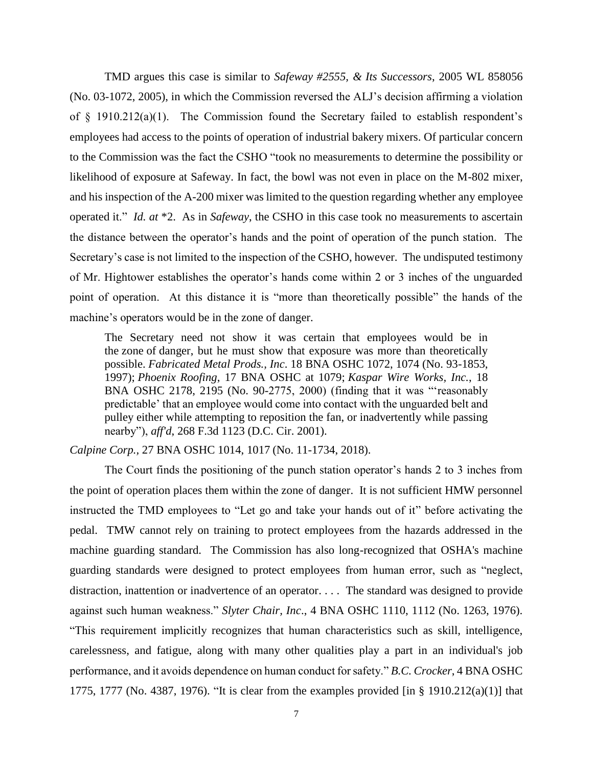TMD argues this case is similar to *Safeway #2555, & Its Successors*, 2005 WL 858056 (No. 03-1072, 2005), in which the Commission reversed the ALJ's decision affirming a violation of § 1910.212(a)(1). The Commission found the Secretary failed to establish respondent's employees had access to the points of operation of industrial bakery mixers. Of particular concern to the Commission was the fact the CSHO "took no measurements to determine the possibility or likelihood of exposure at Safeway. In fact, the bowl was not even in place on the M-802 mixer, and his inspection of the A-200 mixer was limited to the question regarding whether any employee operated it." *Id. at* \*2. As in *Safeway*, the CSHO in this case took no measurements to ascertain the distance between the operator's hands and the point of operation of the punch station. The Secretary's case is not limited to the inspection of the CSHO, however. The undisputed testimony of Mr. Hightower establishes the operator's hands come within 2 or 3 inches of the unguarded point of operation. At this distance it is "more than theoretically possible" the hands of the machine's operators would be in the zone of danger.

The Secretary need not show it was certain that employees would be in the zone of danger, but he must show that exposure was more than theoretically possible. *Fabricated Metal Prods., Inc*. 18 BNA OSHC 1072, 1074 (No. 93-1853, 1997); *Phoenix Roofing*, 17 BNA OSHC at 1079; *Kaspar Wire Works, Inc.*, 18 BNA OSHC 2178, 2195 (No. 90-2775, 2000) (finding that it was "'reasonably predictable' that an employee would come into contact with the unguarded belt and pulley either while attempting to reposition the fan, or inadvertently while passing nearby"), *aff'd*, 268 F.3d 1123 (D.C. Cir. 2001).

*Calpine Corp.,* 27 BNA OSHC 1014, 1017 (No. 11-1734, 2018).

The Court finds the positioning of the punch station operator's hands 2 to 3 inches from the point of operation places them within the zone of danger. It is not sufficient HMW personnel instructed the TMD employees to "Let go and take your hands out of it" before activating the pedal. TMW cannot rely on training to protect employees from the hazards addressed in the machine guarding standard. The Commission has also long-recognized that OSHA's machine guarding standards were designed to protect employees from human error, such as "neglect, distraction, inattention or inadvertence of an operator. . . . The standard was designed to provide against such human weakness." *Slyter Chair, Inc*., 4 BNA OSHC 1110, 1112 (No. 1263, 1976). "This requirement implicitly recognizes that human characteristics such as skill, intelligence, carelessness, and fatigue, along with many other qualities play a part in an individual's job performance, and it avoids dependence on human conduct for safety." *B.C. Crocker*, 4 BNA OSHC 1775, 1777 (No. 4387, 1976). "It is clear from the examples provided [in § 1910.212(a)(1)] that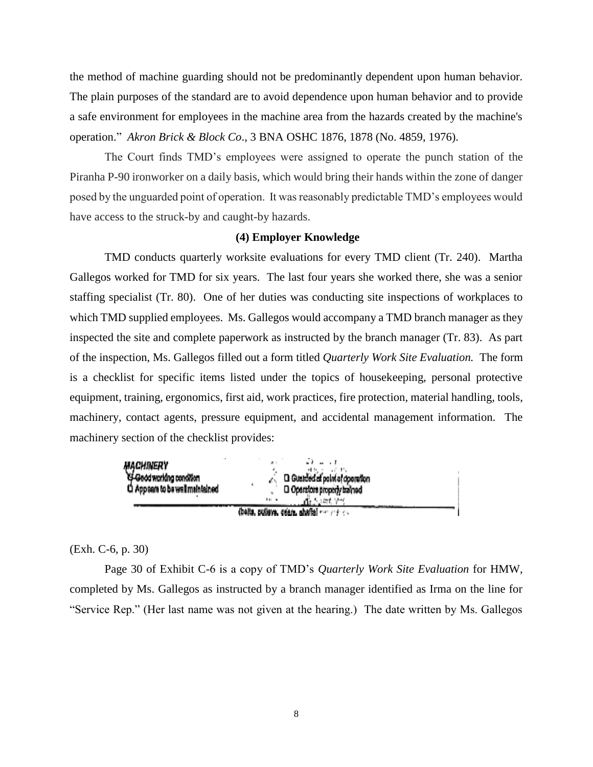the method of machine guarding should not be predominantly dependent upon human behavior. The plain purposes of the standard are to avoid dependence upon human behavior and to provide a safe environment for employees in the machine area from the hazards created by the machine's operation." *Akron Brick & Block Co*., 3 BNA OSHC 1876, 1878 (No. 4859, 1976).

The Court finds TMD's employees were assigned to operate the punch station of the Piranha P-90 ironworker on a daily basis, which would bring their hands within the zone of danger posed by the unguarded point of operation. It was reasonably predictable TMD's employees would have access to the struck-by and caught-by hazards.

## **(4) Employer Knowledge**

TMD conducts quarterly worksite evaluations for every TMD client (Tr. 240). Martha Gallegos worked for TMD for six years. The last four years she worked there, she was a senior staffing specialist (Tr. 80). One of her duties was conducting site inspections of workplaces to which TMD supplied employees. Ms. Gallegos would accompany a TMD branch manager as they inspected the site and complete paperwork as instructed by the branch manager (Tr. 83). As part of the inspection, Ms. Gallegos filled out a form titled *Quarterly Work Site Evaluation.* The form is a checklist for specific items listed under the topics of housekeeping, personal protective equipment, training, ergonomics, first aid, work practices, fire protection, material handling, tools, machinery, contact agents, pressure equipment, and accidental management information. The machinery section of the checklist provides:



(Exh. C-6, p. 30)

Page 30 of Exhibit C-6 is a copy of TMD's *Quarterly Work Site Evaluation* for HMW, completed by Ms. Gallegos as instructed by a branch manager identified as Irma on the line for "Service Rep." (Her last name was not given at the hearing.) The date written by Ms. Gallegos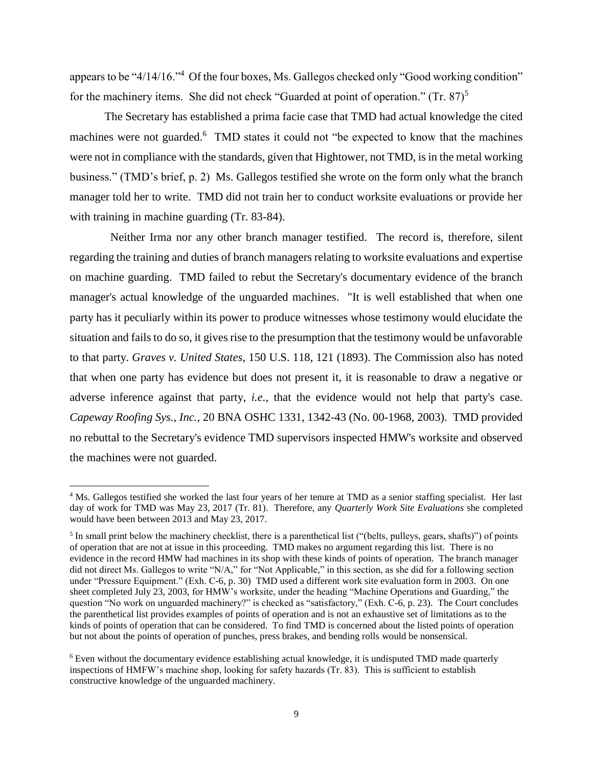appears to be "4/14/16."<sup>4</sup> Of the four boxes, Ms. Gallegos checked only "Good working condition" for the machinery items. She did not check "Guarded at point of operation." (Tr.  $87$ )<sup>5</sup>

The Secretary has established a prima facie case that TMD had actual knowledge the cited machines were not guarded.<sup>6</sup> TMD states it could not "be expected to know that the machines were not in compliance with the standards, given that Hightower, not TMD, is in the metal working business." (TMD's brief, p. 2) Ms. Gallegos testified she wrote on the form only what the branch manager told her to write. TMD did not train her to conduct worksite evaluations or provide her with training in machine guarding (Tr. 83-84).

 Neither Irma nor any other branch manager testified. The record is, therefore, silent regarding the training and duties of branch managers relating to worksite evaluations and expertise on machine guarding. TMD failed to rebut the Secretary's documentary evidence of the branch manager's actual knowledge of the unguarded machines. "It is well established that when one party has it peculiarly within its power to produce witnesses whose testimony would elucidate the situation and fails to do so, it gives rise to the presumption that the testimony would be unfavorable to that party. *Graves v. United States*, 150 U.S. 118, 121 (1893). The Commission also has noted that when one party has evidence but does not present it, it is reasonable to draw a negative or adverse inference against that party, *i.e.*, that the evidence would not help that party's case. *Capeway Roofing Sys., Inc.,* 20 BNA OSHC 1331, 1342-43 (No. 00-1968, 2003). TMD provided no rebuttal to the Secretary's evidence TMD supervisors inspected HMW's worksite and observed the machines were not guarded.

 $\overline{\phantom{a}}$ 

<sup>&</sup>lt;sup>4</sup> Ms. Gallegos testified she worked the last four years of her tenure at TMD as a senior staffing specialist. Her last day of work for TMD was May 23, 2017 (Tr. 81). Therefore, any *Quarterly Work Site Evaluations* she completed would have been between 2013 and May 23, 2017.

 $<sup>5</sup>$  In small print below the machinery checklist, there is a parenthetical list ("(belts, pulleys, gears, shafts)") of points</sup> of operation that are not at issue in this proceeding. TMD makes no argument regarding this list. There is no evidence in the record HMW had machines in its shop with these kinds of points of operation. The branch manager did not direct Ms. Gallegos to write "N/A," for "Not Applicable," in this section, as she did for a following section under "Pressure Equipment." (Exh. C-6, p. 30) TMD used a different work site evaluation form in 2003. On one sheet completed July 23, 2003, for HMW's worksite, under the heading "Machine Operations and Guarding," the question "No work on unguarded machinery?" is checked as "satisfactory," (Exh. C-6, p. 23). The Court concludes the parenthetical list provides examples of points of operation and is not an exhaustive set of limitations as to the kinds of points of operation that can be considered. To find TMD is concerned about the listed points of operation but not about the points of operation of punches, press brakes, and bending rolls would be nonsensical.

<sup>&</sup>lt;sup>6</sup> Even without the documentary evidence establishing actual knowledge, it is undisputed TMD made quarterly inspections of HMFW's machine shop, looking for safety hazards (Tr. 83). This is sufficient to establish constructive knowledge of the unguarded machinery.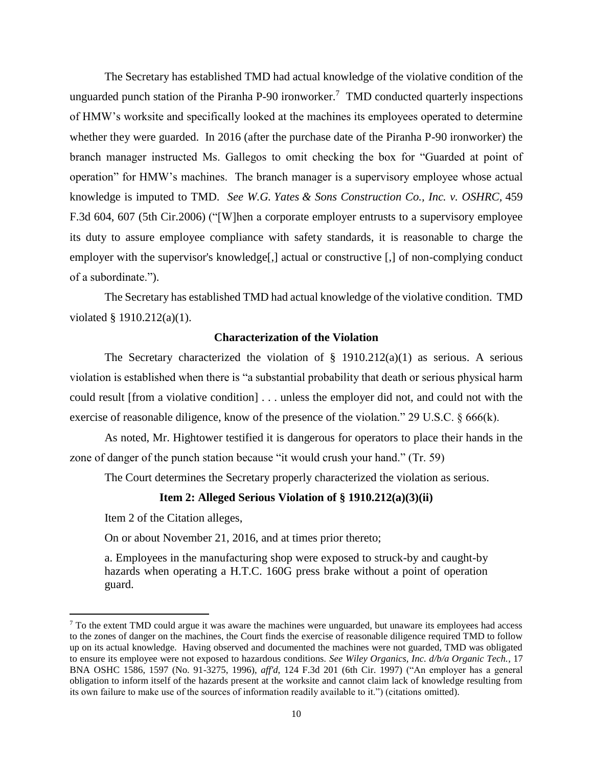The Secretary has established TMD had actual knowledge of the violative condition of the unguarded punch station of the Piranha P-90 ironworker.<sup>7</sup> TMD conducted quarterly inspections of HMW's worksite and specifically looked at the machines its employees operated to determine whether they were guarded. In 2016 (after the purchase date of the Piranha P-90 ironworker) the branch manager instructed Ms. Gallegos to omit checking the box for "Guarded at point of operation" for HMW's machines. The branch manager is a supervisory employee whose actual knowledge is imputed to TMD. *See W.G. Yates [& Sons Construction Co., Inc. v. OSHRC,](https://1.next.westlaw.com/Link/Document/FullText?findType=Y&serNum=2009673890&pubNum=0000506&originatingDoc=I526434a1c3c511e5b4bafa136b480ad2&refType=RP&fi=co_pp_sp_506_607&originationContext=document&transitionType=DocumentItem&contextData=(sc.Search)#co_pp_sp_506_607)* 459 [F.3d 604, 607 \(5th Cir.2006\)](https://1.next.westlaw.com/Link/Document/FullText?findType=Y&serNum=2009673890&pubNum=0000506&originatingDoc=I526434a1c3c511e5b4bafa136b480ad2&refType=RP&fi=co_pp_sp_506_607&originationContext=document&transitionType=DocumentItem&contextData=(sc.Search)#co_pp_sp_506_607) ("[W]hen a corporate employer entrusts to a supervisory employee its duty to assure employee compliance with safety standards, it is reasonable to charge the employer with the supervisor's knowledge[,] actual or constructive [,] of non-complying conduct of a subordinate.").

The Secretary has established TMD had actual knowledge of the violative condition. TMD violated § 1910.212(a)(1).

# **Characterization of the Violation**

The Secretary characterized the violation of  $\S$  1910.212(a)(1) as serious. A serious violation is established when there is "a substantial probability that death or serious physical harm could result [from a violative condition] . . . unless the employer did not, and could not with the exercise of reasonable diligence, know of the presence of the violation." 29 U.S.C. § 666(k).

As noted, Mr. Hightower testified it is dangerous for operators to place their hands in the zone of danger of the punch station because "it would crush your hand." (Tr. 59)

The Court determines the Secretary properly characterized the violation as serious.

#### **Item 2: Alleged Serious Violation of § 1910.212(a)(3)(ii)**

Item 2 of the Citation alleges,

 $\overline{\phantom{a}}$ 

On or about November 21, 2016, and at times prior thereto;

a. Employees in the manufacturing shop were exposed to struck-by and caught-by hazards when operating a H.T.C. 160G press brake without a point of operation guard.

<sup>&</sup>lt;sup>7</sup> To the extent TMD could argue it was aware the machines were unguarded, but unaware its employees had access to the zones of danger on the machines, the Court finds the exercise of reasonable diligence required TMD to follow up on its actual knowledge. Having observed and documented the machines were not guarded, TMD was obligated to ensure its employee were not exposed to hazardous conditions. *See Wiley Organics, Inc. d/b/a Organic Tech.*, 17 BNA OSHC 1586, 1597 (No. 91-3275, 1996), *aff'd*, 124 F.3d 201 (6th Cir. 1997) ("An employer has a general obligation to inform itself of the hazards present at the worksite and cannot claim lack of knowledge resulting from its own failure to make use of the sources of information readily available to it.") (citations omitted).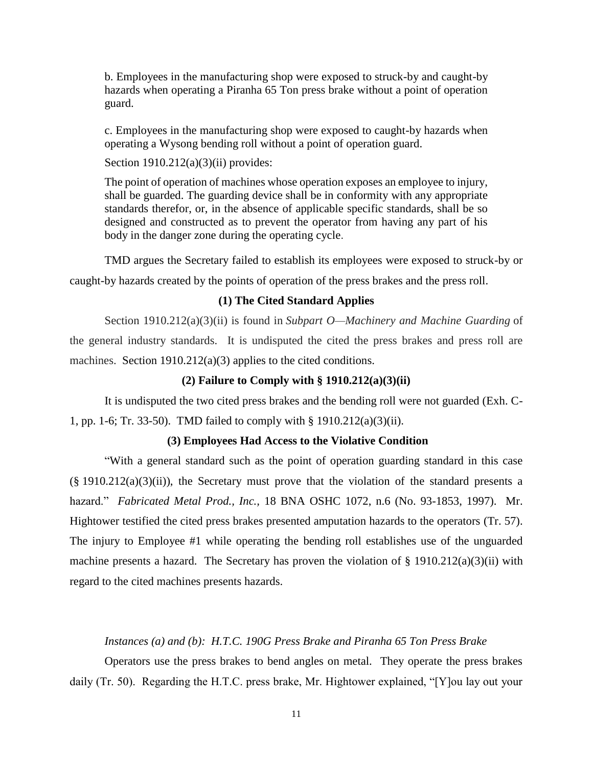b. Employees in the manufacturing shop were exposed to struck-by and caught-by hazards when operating a Piranha 65 Ton press brake without a point of operation guard.

c. Employees in the manufacturing shop were exposed to caught-by hazards when operating a Wysong bending roll without a point of operation guard.

Section  $1910.212(a)(3)(ii)$  provides:

The point of operation of machines whose operation exposes an employee to injury, shall be guarded. The guarding device shall be in conformity with any appropriate standards therefor, or, in the absence of applicable specific standards, shall be so designed and constructed as to prevent the operator from having any part of his body in the danger zone during the operating cycle.

TMD argues the Secretary failed to establish its employees were exposed to struck-by or caught-by hazards created by the points of operation of the press brakes and the press roll.

### **(1) The Cited Standard Applies**

Section 1910.212(a)(3)(ii) is found in *Subpart O—Machinery and Machine Guarding* of the general industry standards. It is undisputed the cited the press brakes and press roll are machines. Section 1910.212(a)(3) applies to the cited conditions.

## **(2) Failure to Comply with § 1910.212(a)(3)(ii)**

It is undisputed the two cited press brakes and the bending roll were not guarded (Exh. C-1, pp. 1-6; Tr. 33-50). TMD failed to comply with § 1910.212(a)(3)(ii).

#### **(3) Employees Had Access to the Violative Condition**

"With a general standard such as the point of operation guarding standard in this case  $(\S 1910.212(a)(3)(ii))$ , the Secretary must prove that the violation of the standard presents a hazard." *Fabricated Metal Prod., Inc.,* 18 BNA OSHC 1072, n.6 (No. 93-1853, 1997). Mr. Hightower testified the cited press brakes presented amputation hazards to the operators (Tr. 57). The injury to Employee #1 while operating the bending roll establishes use of the unguarded machine presents a hazard. The Secretary has proven the violation of  $\S$  1910.212(a)(3)(ii) with regard to the cited machines presents hazards.

## *Instances (a) and (b): H.T.C. 190G Press Brake and Piranha 65 Ton Press Brake*

Operators use the press brakes to bend angles on metal. They operate the press brakes daily (Tr. 50). Regarding the H.T.C. press brake, Mr. Hightower explained, "[Y]ou lay out your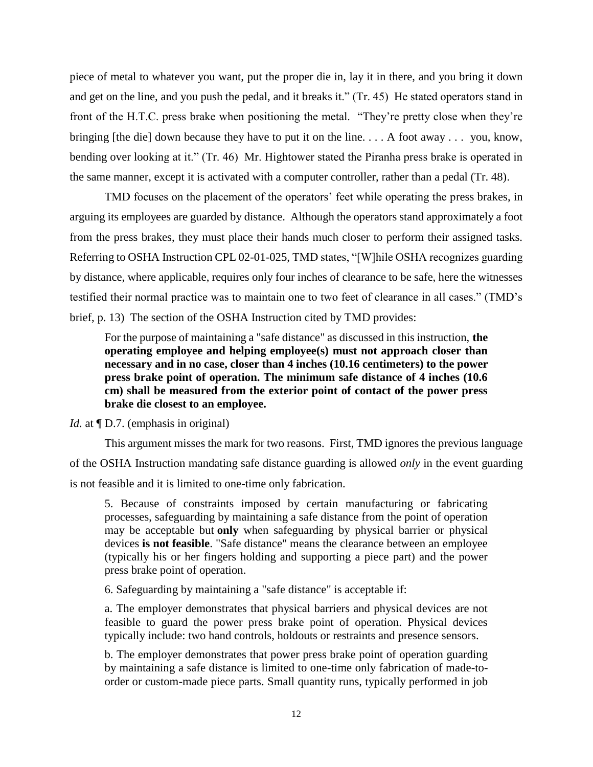piece of metal to whatever you want, put the proper die in, lay it in there, and you bring it down and get on the line, and you push the pedal, and it breaks it." (Tr. 45) He stated operators stand in front of the H.T.C. press brake when positioning the metal. "They're pretty close when they're bringing [the die] down because they have to put it on the line. . . . A foot away . . . you, know, bending over looking at it." (Tr. 46) Mr. Hightower stated the Piranha press brake is operated in the same manner, except it is activated with a computer controller, rather than a pedal (Tr. 48).

TMD focuses on the placement of the operators' feet while operating the press brakes, in arguing its employees are guarded by distance. Although the operators stand approximately a foot from the press brakes, they must place their hands much closer to perform their assigned tasks. Referring to OSHA Instruction CPL 02-01-025, TMD states, "[W]hile OSHA recognizes guarding by distance, where applicable, requires only four inches of clearance to be safe, here the witnesses testified their normal practice was to maintain one to two feet of clearance in all cases." (TMD's brief, p. 13) The section of the OSHA Instruction cited by TMD provides:

For the purpose of maintaining a "safe distance" as discussed in this instruction, **the operating employee and helping employee(s) must not approach closer than necessary and in no case, closer than 4 inches (10.16 centimeters) to the power press brake point of operation. The minimum safe distance of 4 inches (10.6 cm) shall be measured from the exterior point of contact of the power press brake die closest to an employee.**

## *Id.* at  $\P D.7$ . (emphasis in original)

This argument misses the mark for two reasons. First, TMD ignores the previous language of the OSHA Instruction mandating safe distance guarding is allowed *only* in the event guarding is not feasible and it is limited to one-time only fabrication.

5. Because of constraints imposed by certain manufacturing or fabricating processes, safeguarding by maintaining a safe distance from the point of operation may be acceptable but **only** when safeguarding by physical barrier or physical devices **is not feasible**. "Safe distance" means the clearance between an employee (typically his or her fingers holding and supporting a piece part) and the power press brake point of operation.

6. Safeguarding by maintaining a "safe distance" is acceptable if:

a. The employer demonstrates that physical barriers and physical devices are not feasible to guard the power press brake point of operation. Physical devices typically include: two hand controls, holdouts or restraints and presence sensors.

b. The employer demonstrates that power press brake point of operation guarding by maintaining a safe distance is limited to one-time only fabrication of made-toorder or custom-made piece parts. Small quantity runs, typically performed in job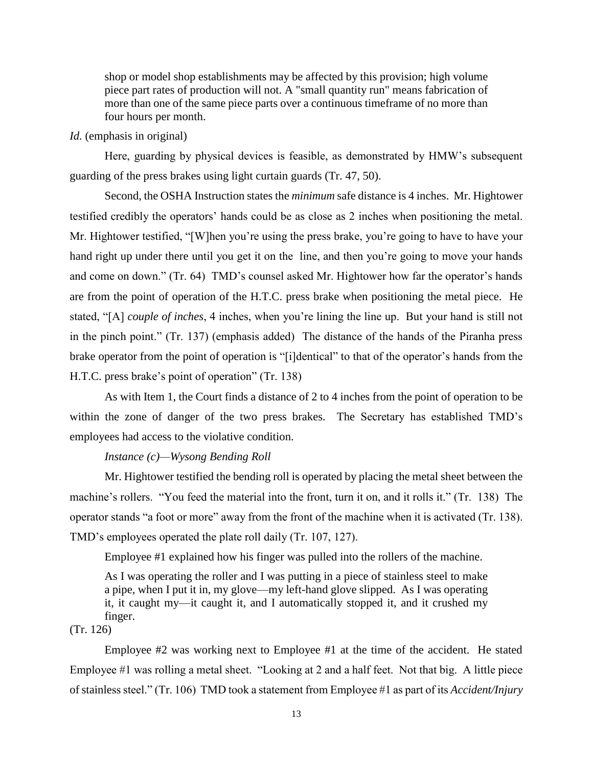shop or model shop establishments may be affected by this provision; high volume piece part rates of production will not. A "small quantity run" means fabrication of more than one of the same piece parts over a continuous timeframe of no more than four hours per month.

# *Id.* (emphasis in original)

Here, guarding by physical devices is feasible, as demonstrated by HMW's subsequent guarding of the press brakes using light curtain guards (Tr. 47, 50).

Second, the OSHA Instruction states the *minimum* safe distance is 4 inches. Mr. Hightower testified credibly the operators' hands could be as close as 2 inches when positioning the metal. Mr. Hightower testified, "[W]hen you're using the press brake, you're going to have to have your hand right up under there until you get it on the line, and then you're going to move your hands and come on down." (Tr. 64) TMD's counsel asked Mr. Hightower how far the operator's hands are from the point of operation of the H.T.C. press brake when positioning the metal piece. He stated, "[A] *couple of inches*, 4 inches, when you're lining the line up. But your hand is still not in the pinch point." (Tr. 137) (emphasis added) The distance of the hands of the Piranha press brake operator from the point of operation is "[i]dentical" to that of the operator's hands from the H.T.C. press brake's point of operation" (Tr. 138)

As with Item 1, the Court finds a distance of 2 to 4 inches from the point of operation to be within the zone of danger of the two press brakes. The Secretary has established TMD's employees had access to the violative condition.

### *Instance (c)—Wysong Bending Roll*

Mr. Hightower testified the bending roll is operated by placing the metal sheet between the machine's rollers. "You feed the material into the front, turn it on, and it rolls it." (Tr. 138) The operator stands "a foot or more" away from the front of the machine when it is activated (Tr. 138). TMD's employees operated the plate roll daily (Tr. 107, 127).

Employee #1 explained how his finger was pulled into the rollers of the machine.

As I was operating the roller and I was putting in a piece of stainless steel to make a pipe, when I put it in, my glove—my left-hand glove slipped. As I was operating it, it caught my—it caught it, and I automatically stopped it, and it crushed my finger.

(Tr. 126)

Employee #2 was working next to Employee #1 at the time of the accident. He stated Employee #1 was rolling a metal sheet. "Looking at 2 and a half feet. Not that big. A little piece of stainless steel." (Tr. 106) TMD took a statement from Employee #1 as part of its *Accident/Injury*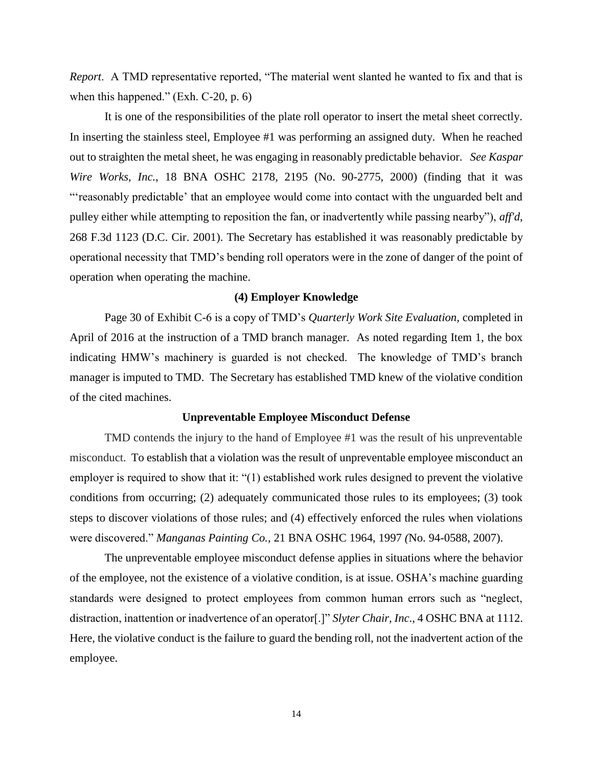*Report*. A TMD representative reported, "The material went slanted he wanted to fix and that is when this happened." (Exh. C-20, p. 6)

It is one of the responsibilities of the plate roll operator to insert the metal sheet correctly. In inserting the stainless steel, Employee #1 was performing an assigned duty. When he reached out to straighten the metal sheet, he was engaging in reasonably predictable behavior. *See Kaspar Wire Works, Inc.*, 18 BNA OSHC 2178, 2195 (No. 90-2775, 2000) (finding that it was "'reasonably predictable' that an employee would come into contact with the unguarded belt and pulley either while attempting to reposition the fan, or inadvertently while passing nearby"), *aff'd*, 268 F.3d 1123 (D.C. Cir. 2001). The Secretary has established it was reasonably predictable by operational necessity that TMD's bending roll operators were in the zone of danger of the point of operation when operating the machine.

#### **(4) Employer Knowledge**

Page 30 of Exhibit C-6 is a copy of TMD's *Quarterly Work Site Evaluation,* completed in April of 2016 at the instruction of a TMD branch manager. As noted regarding Item 1, the box indicating HMW's machinery is guarded is not checked. The knowledge of TMD's branch manager is imputed to TMD. The Secretary has established TMD knew of the violative condition of the cited machines.

#### **Unpreventable Employee Misconduct Defense**

TMD contends the injury to the hand of Employee #1 was the result of his unpreventable misconduct. To establish that a violation was the result of unpreventable employee misconduct an employer is required to show that it: "(1) established work rules designed to prevent the violative conditions from occurring; (2) adequately communicated those rules to its employees; (3) took steps to discover violations of those rules; and (4) effectively enforced the rules when violations were discovered." *Manganas Painting Co.,* [21 BNA OSHC 1964, 1997](https://1.next.westlaw.com/Link/Document/FullText?findType=Y&serNum=2018323957&pubNum=0003227&originatingDoc=Iae4767bf3f9211e8bbbcd57aa014637b&refType=CA&fi=co_pp_sp_3227_1997&originationContext=document&transitionType=DocumentItem&contextData=(sc.Search)#co_pp_sp_3227_1997) *(*No. 94-0588, 2007).

The unpreventable employee misconduct defense applies in situations where the behavior of the employee, not the existence of a violative condition, is at issue. OSHA's machine guarding standards were designed to protect employees from common human errors such as "neglect, distraction, inattention or inadvertence of an operator[.]" *Slyter Chair, Inc*., 4 OSHC BNA at 1112. Here, the violative conduct is the failure to guard the bending roll, not the inadvertent action of the employee.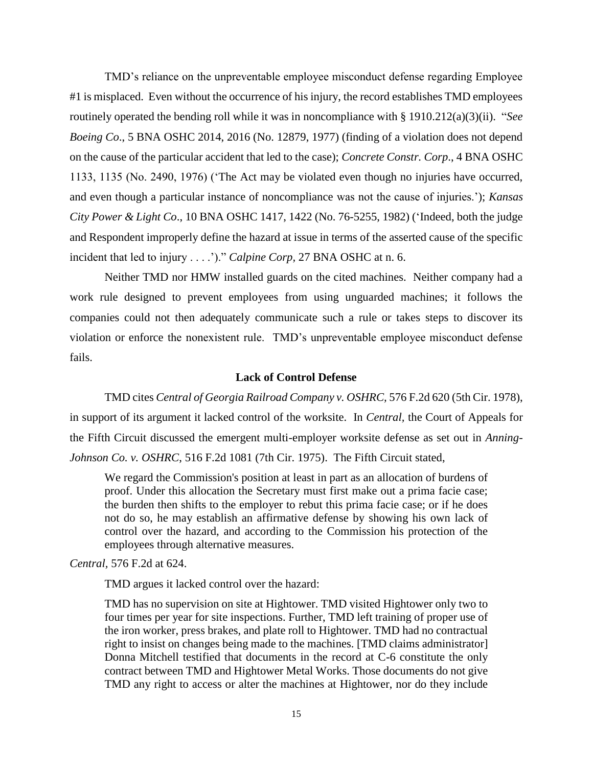TMD's reliance on the unpreventable employee misconduct defense regarding Employee #1 is misplaced. Even without the occurrence of his injury, the record establishes TMD employees routinely operated the bending roll while it was in noncompliance with § 1910.212(a)(3)(ii). "*See Boeing Co*., 5 BNA OSHC 2014, 2016 (No. 12879, 1977) (finding of a violation does not depend on the cause of the particular accident that led to the case); *Concrete Constr. Corp*., 4 BNA OSHC 1133, 1135 (No. 2490, 1976) ('The Act may be violated even though no injuries have occurred, and even though a particular instance of noncompliance was not the cause of injuries.'); *Kansas City Power & Light Co*., 10 BNA OSHC 1417, 1422 (No. 76-5255, 1982) ('Indeed, both the judge and Respondent improperly define the hazard at issue in terms of the asserted cause of the specific incident that led to injury . . . .')." *Calpine Corp,* 27 BNA OSHC at n. 6.

Neither TMD nor HMW installed guards on the cited machines. Neither company had a work rule designed to prevent employees from using unguarded machines; it follows the companies could not then adequately communicate such a rule or takes steps to discover its violation or enforce the nonexistent rule. TMD's unpreventable employee misconduct defense fails.

### **Lack of Control Defense**

TMD cites *Central of Georgia Railroad Company v. OSHRC,* 576 F.2d 620 (5th Cir. 1978), in support of its argument it lacked control of the worksite. In *Central,* the Court of Appeals for the Fifth Circuit discussed the emergent multi-employer worksite defense as set out in *[Anning-](https://1.next.westlaw.com/Link/Document/FullText?findType=Y&serNum=1975111047&pubNum=350&originatingDoc=I663172c9917811d98e8fb00d6c6a02dd&refType=RP&originationContext=document&transitionType=DocumentItem&contextData=(sc.UserEnteredCitation))Johnson Co. v. OSHRC*[, 516 F.2d 1081 \(7th Cir. 1975\).](https://1.next.westlaw.com/Link/Document/FullText?findType=Y&serNum=1975111047&pubNum=350&originatingDoc=I663172c9917811d98e8fb00d6c6a02dd&refType=RP&originationContext=document&transitionType=DocumentItem&contextData=(sc.UserEnteredCitation)) The Fifth Circuit stated,

We regard the Commission's position at least in part as an allocation of burdens of proof. Under this allocation the Secretary must first make out a prima facie case; the burden then shifts to the employer to rebut this prima facie case; or if he does not do so, he may establish an affirmative defense by showing his own lack of control over the hazard, and according to the Commission his protection of the employees through alternative measures.

*Central,* 576 F.2d at 624.

TMD argues it lacked control over the hazard:

TMD has no supervision on site at Hightower. TMD visited Hightower only two to four times per year for site inspections. Further, TMD left training of proper use of the iron worker, press brakes, and plate roll to Hightower. TMD had no contractual right to insist on changes being made to the machines. [TMD claims administrator] Donna Mitchell testified that documents in the record at C-6 constitute the only contract between TMD and Hightower Metal Works. Those documents do not give TMD any right to access or alter the machines at Hightower, nor do they include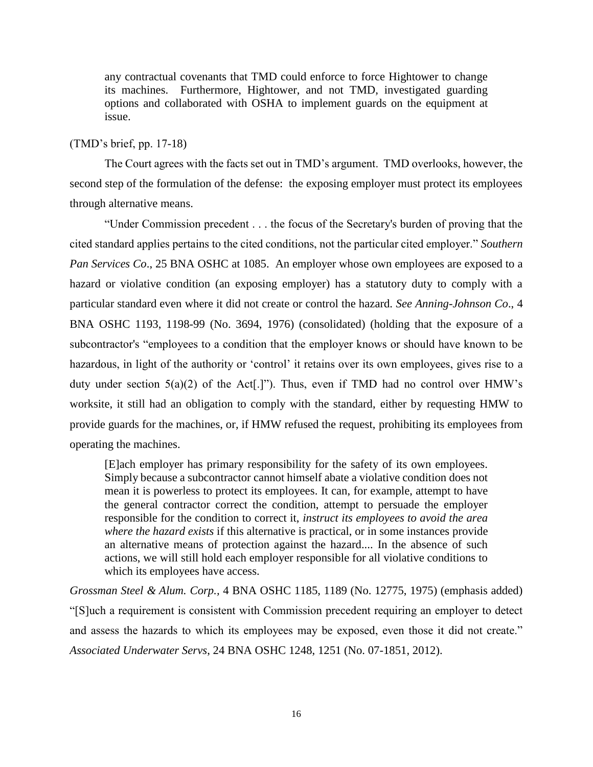any contractual covenants that TMD could enforce to force Hightower to change its machines. Furthermore, Hightower, and not TMD, investigated guarding options and collaborated with OSHA to implement guards on the equipment at issue.

## (TMD's brief, pp. 17-18)

The Court agrees with the facts set out in TMD's argument. TMD overlooks, however, the second step of the formulation of the defense: the exposing employer must protect its employees through alternative means.

"Under Commission precedent . . . the focus of the Secretary's burden of proving that the cited standard applies pertains to the cited conditions, not the particular cited employer." *Southern Pan Services Co*., 25 BNA OSHC at 1085. An employer whose own employees are exposed to a hazard or violative condition (an exposing employer) has a statutory duty to comply with a particular standard even where it did not create or control the hazard. *See Anning-Johnson Co*., 4 BNA OSHC 1193, 1198-99 (No. 3694, 1976) (consolidated) (holding that the exposure of a subcontractor's "employees to a condition that the employer knows or should have known to be hazardous, in light of the authority or 'control' it retains over its own employees, gives rise to a duty under section  $5(a)(2)$  of the Act[.]"). Thus, even if TMD had no control over HMW's worksite, it still had an obligation to comply with the standard, either by requesting HMW to provide guards for the machines, or, if HMW refused the request, prohibiting its employees from operating the machines.

[E]ach employer has primary responsibility for the safety of its own employees. Simply because a subcontractor cannot himself abate a violative condition does not mean it is powerless to protect its employees. It can, for example, attempt to have the general contractor correct the condition, attempt to persuade the employer responsible for the condition to correct it, *instruct its employees to avoid the area where the hazard exists* if this alternative is practical, or in some instances provide an alternative means of protection against the hazard.... In the absence of such actions, we will still hold each employer responsible for all violative conditions to which its employees have access.

*Grossman Steel & Alum. Corp.,* 4 BNA OSHC 1185, 1189 (No. 12775, 1975) (emphasis added) "[S]uch a requirement is consistent with Commission precedent requiring an employer to detect and assess the hazards to which its employees may be exposed, even those it did not create." *Associated Underwater Servs*, 24 BNA OSHC 1248, 1251 (No. 07-1851, 2012).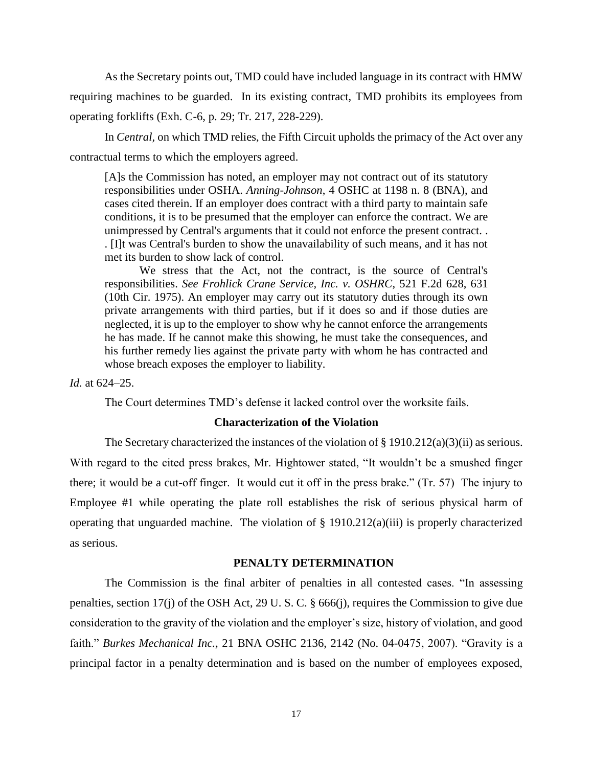As the Secretary points out, TMD could have included language in its contract with HMW requiring machines to be guarded. In its existing contract, TMD prohibits its employees from operating forklifts (Exh. C-6, p. 29; Tr. 217, 228-229).

In *Central,* on which TMD relies, the Fifth Circuit upholds the primacy of the Act over any contractual terms to which the employers agreed.

[A]s the Commission has noted, an employer may not contract out of its statutory responsibilities under OSHA. *Anning-Johnson*, 4 OSHC at 1198 n. 8 (BNA), and cases cited therein. If an employer does contract with a third party to maintain safe conditions, it is to be presumed that the employer can enforce the contract. We are unimpressed by Central's arguments that it could not enforce the present contract. . . [I]t was Central's burden to show the unavailability of such means, and it has not met its burden to show lack of control.

We stress that the Act, not the contract, is the source of Central's responsibilities. *See Frohlick Crane Service, Inc. v. OSHRC*, 521 F.2d 628, 631 (10th Cir. 1975). An employer may carry out its statutory duties through its own private arrangements with third parties, but if it does so and if those duties are neglected, it is up to the employer to show why he cannot enforce the arrangements he has made. If he cannot make this showing, he must take the consequences, and his further remedy lies against the private party with whom he has contracted and whose breach exposes the employer to liability.

*Id.* at 624–25.

The Court determines TMD's defense it lacked control over the worksite fails.

#### **Characterization of the Violation**

The Secretary characterized the instances of the violation of § 1910.212(a)(3)(ii) as serious. With regard to the cited press brakes, Mr. Hightower stated, "It wouldn't be a smushed finger there; it would be a cut-off finger. It would cut it off in the press brake." (Tr. 57) The injury to Employee #1 while operating the plate roll establishes the risk of serious physical harm of operating that unguarded machine. The violation of § 1910.212(a)(iii) is properly characterized as serious.

#### **PENALTY DETERMINATION**

The Commission is the final arbiter of penalties in all contested cases. "In assessing penalties, section 17(j) of the OSH Act, 29 U. S. C. § 666(j), requires the Commission to give due consideration to the gravity of the violation and the employer's size, history of violation, and good faith." *Burkes Mechanical Inc.,* 21 BNA OSHC 2136, 2142 (No. 04-0475, 2007). "Gravity is a principal factor in a penalty determination and is based on the number of employees exposed,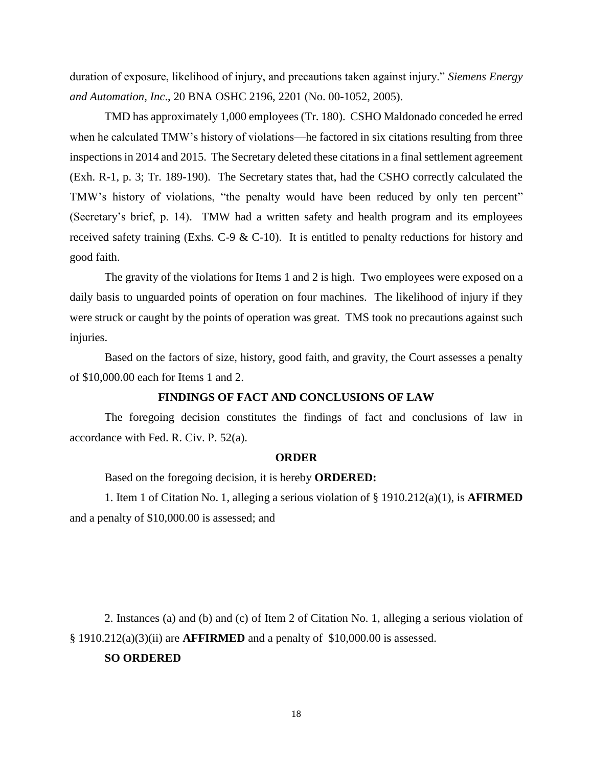duration of exposure, likelihood of injury, and precautions taken against injury." *Siemens Energy and Automation, Inc*., 20 BNA OSHC 2196, 2201 (No. 00-1052, 2005).

TMD has approximately 1,000 employees (Tr. 180). CSHO Maldonado conceded he erred when he calculated TMW's history of violations—he factored in six citations resulting from three inspections in 2014 and 2015. The Secretary deleted these citations in a final settlement agreement (Exh. R-1, p. 3; Tr. 189-190). The Secretary states that, had the CSHO correctly calculated the TMW's history of violations, "the penalty would have been reduced by only ten percent" (Secretary's brief, p. 14). TMW had a written safety and health program and its employees received safety training (Exhs. C-9 & C-10). It is entitled to penalty reductions for history and good faith.

The gravity of the violations for Items 1 and 2 is high. Two employees were exposed on a daily basis to unguarded points of operation on four machines. The likelihood of injury if they were struck or caught by the points of operation was great. TMS took no precautions against such injuries.

Based on the factors of size, history, good faith, and gravity, the Court assesses a penalty of \$10,000.00 each for Items 1 and 2.

### **FINDINGS OF FACT AND CONCLUSIONS OF LAW**

The foregoing decision constitutes the findings of fact and conclusions of law in accordance with Fed. R. Civ. P. 52(a).

#### **ORDER**

Based on the foregoing decision, it is hereby **ORDERED:**

1. Item 1 of Citation No. 1, alleging a serious violation of § 1910.212(a)(1), is **AFIRMED**  and a penalty of \$10,000.00 is assessed; and

2. Instances (a) and (b) and (c) of Item 2 of Citation No. 1, alleging a serious violation of § 1910.212(a)(3)(ii) are **AFFIRMED** and a penalty of \$10,000.00 is assessed.

# **SO ORDERED**